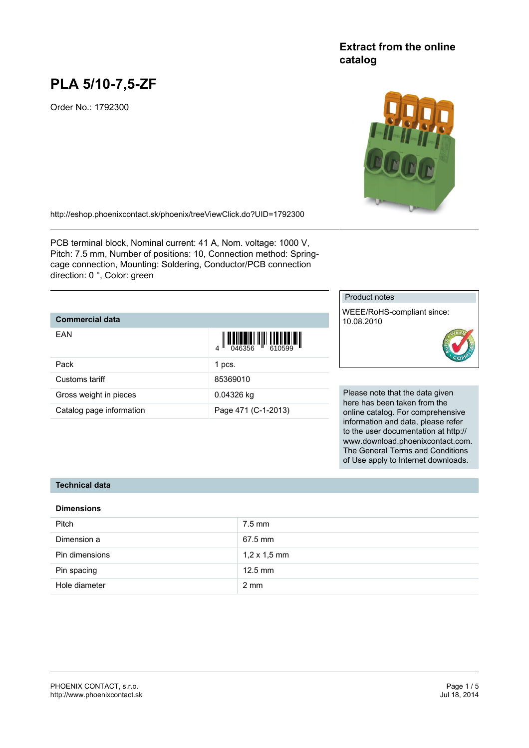# **PLA 5/10-7,5-ZF**

Order No.: 1792300

# **Extract from the online catalog**



<http://eshop.phoenixcontact.sk/phoenix/treeViewClick.do?UID=1792300>

PCB terminal block, Nominal current: 41 A, Nom. voltage: 1000 V, Pitch: 7.5 mm, Number of positions: 10, Connection method: Springcage connection, Mounting: Soldering, Conductor/PCB connection direction: 0 °, Color: green

# **Commercial data**

| EAN                      | $\left\  \prod_{0.46356} \right\  \left\  \prod_{610599} \right\ $ |
|--------------------------|--------------------------------------------------------------------|
| Pack                     | 1 pcs.                                                             |
| Customs tariff           | 85369010                                                           |
| Gross weight in pieces   | 0.04326 kg                                                         |
| Catalog page information | Page 471 (C-1-2013)                                                |

# Product notes

WEEE/RoHS-compliant since: 10.08.2010



Please note that the data given here has been taken from the online catalog. For comprehensive information and data, please refer to the user documentation at http:// www.download.phoenixcontact.com. The General Terms and Conditions of Use apply to Internet downloads.

### **Technical data**

#### **Dimensions**

| <b>Pitch</b>   | $7.5$ mm            |
|----------------|---------------------|
| Dimension a    | 67.5 mm             |
| Pin dimensions | $1,2 \times 1,5$ mm |
| Pin spacing    | $12.5$ mm           |
| Hole diameter  | $2 \text{ mm}$      |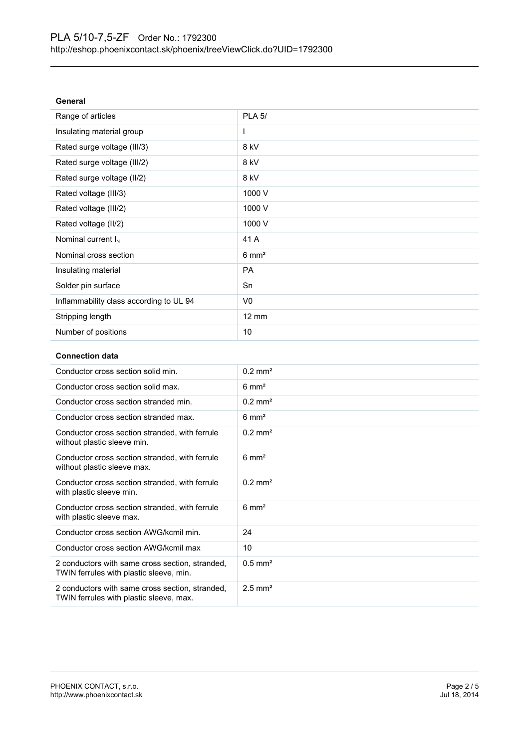| Range of articles                       | <b>PLA 5/</b>    |
|-----------------------------------------|------------------|
| Insulating material group               | J.               |
| Rated surge voltage (III/3)             | 8 kV             |
| Rated surge voltage (III/2)             | 8 kV             |
| Rated surge voltage (II/2)              | 8 kV             |
| Rated voltage (III/3)                   | 1000 V           |
| Rated voltage (III/2)                   | 1000 V           |
| Rated voltage (II/2)                    | 1000 V           |
| Nominal current $I_N$                   | 41 A             |
| Nominal cross section                   | $6 \text{ mm}^2$ |
| Insulating material                     | <b>PA</b>        |
| Solder pin surface                      | Sn               |
| Inflammability class according to UL 94 | V <sub>0</sub>   |
| Stripping length                        | 12 mm            |
| Number of positions                     | 10               |

# **Connection data**

| Conductor cross section solid min.                                                         | $0.2$ mm <sup>2</sup> |
|--------------------------------------------------------------------------------------------|-----------------------|
| Conductor cross section solid max.                                                         | $6 \text{ mm}^2$      |
| Conductor cross section stranded min.                                                      | $0.2$ mm <sup>2</sup> |
| Conductor cross section stranded max.                                                      | $6 \text{ mm}^2$      |
| Conductor cross section stranded, with ferrule<br>without plastic sleeve min.              | $0.2$ mm <sup>2</sup> |
| Conductor cross section stranded, with ferrule<br>without plastic sleeve max.              | $6 \text{ mm}^2$      |
| Conductor cross section stranded, with ferrule<br>with plastic sleeve min.                 | $0.2$ mm <sup>2</sup> |
| Conductor cross section stranded, with ferrule<br>with plastic sleeve max.                 | $6 \text{ mm}^2$      |
| Conductor cross section AWG/kcmil min.                                                     | 24                    |
| Conductor cross section AWG/kcmil max                                                      | 10                    |
| 2 conductors with same cross section, stranded,<br>TWIN ferrules with plastic sleeve, min. | $0.5$ mm <sup>2</sup> |
| 2 conductors with same cross section, stranded,<br>TWIN ferrules with plastic sleeve, max. | $2.5$ mm <sup>2</sup> |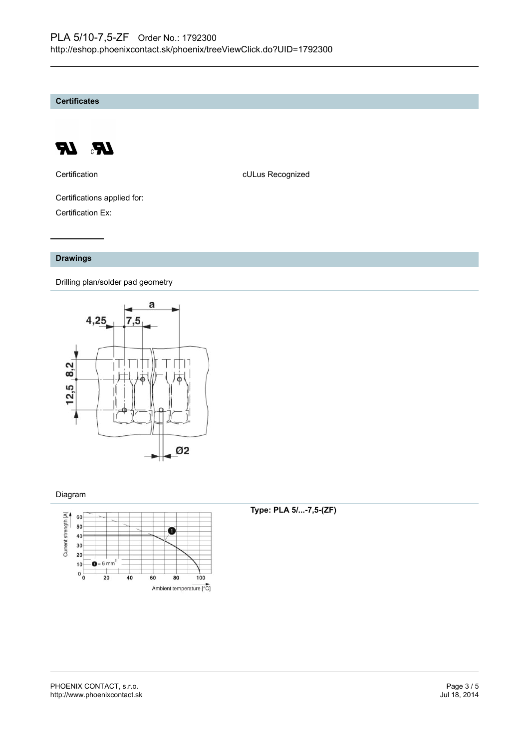**Certificates**



Certification **CERTIFICATE CULUS** Recognized

Certifications applied for: Certification Ex:

# **Drawings**

Drilling plan/solder pad geometry



# Diagram



# **Type: PLA 5/...-7,5-(ZF)**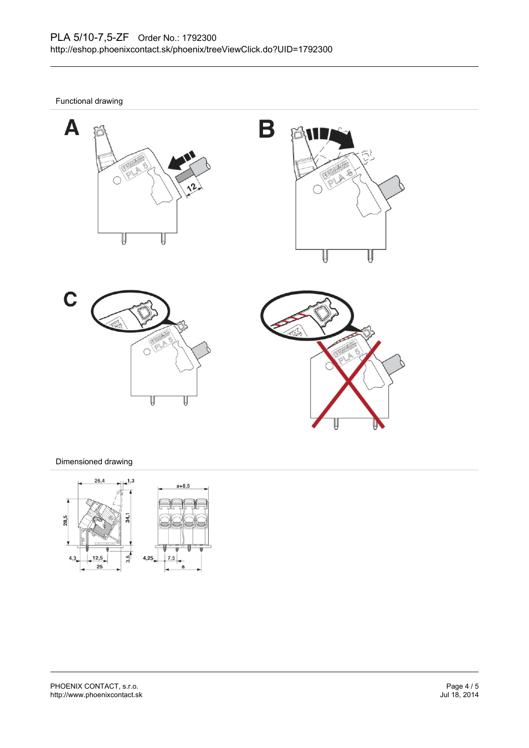Functional drawing









# Dimensioned drawing